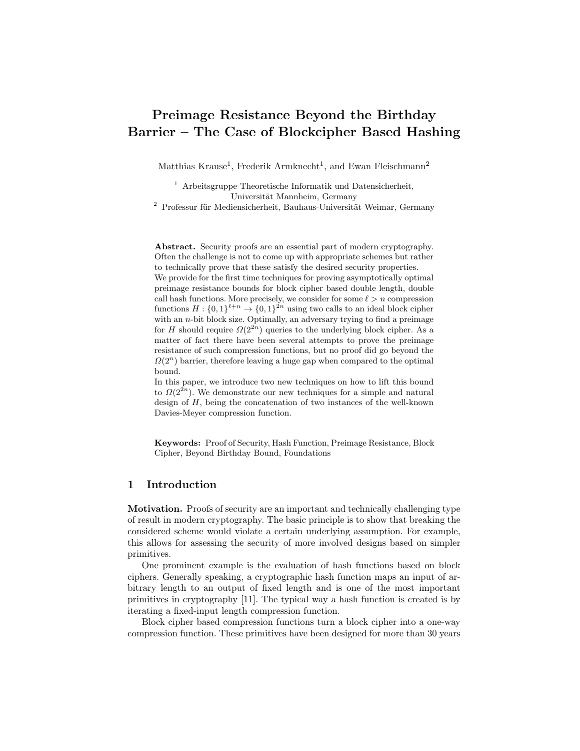# Preimage Resistance Beyond the Birthday Barrier – The Case of Blockcipher Based Hashing

Matthias Krause<sup>1</sup>, Frederik Armknecht<sup>1</sup>, and Ewan Fleischmann<sup>2</sup>

<sup>1</sup> Arbeitsgruppe Theoretische Informatik und Datensicherheit, Universität Mannheim, Germany

 $2$  Professur für Mediensicherheit, Bauhaus-Universität Weimar, Germany

Abstract. Security proofs are an essential part of modern cryptography. Often the challenge is not to come up with appropriate schemes but rather to technically prove that these satisfy the desired security properties. We provide for the first time techniques for proving asymptotically optimal preimage resistance bounds for block cipher based double length, double call hash functions. More precisely, we consider for some  $\ell > n$  compression functions  $H: \{0,1\}^{\ell+n} \to \{0,1\}^{2n}$  using two calls to an ideal block cipher with an *n*-bit block size. Optimally, an adversary trying to find a preimage for H should require  $\Omega(2^{2n})$  queries to the underlying block cipher. As a matter of fact there have been several attempts to prove the preimage resistance of such compression functions, but no proof did go beyond the  $\Omega(2^n)$  barrier, therefore leaving a huge gap when compared to the optimal bound.

In this paper, we introduce two new techniques on how to lift this bound to  $\Omega(2^{2n})$ . We demonstrate our new techniques for a simple and natural design of  $H$ , being the concatenation of two instances of the well-known Davies-Meyer compression function.

Keywords: Proof of Security, Hash Function, Preimage Resistance, Block Cipher, Beyond Birthday Bound, Foundations

# 1 Introduction

**Motivation.** Proofs of security are an important and technically challenging type of result in modern cryptography. The basic principle is to show that breaking the considered scheme would violate a certain underlying assumption. For example, this allows for assessing the security of more involved designs based on simpler primitives.

One prominent example is the evaluation of hash functions based on block ciphers. Generally speaking, a cryptographic hash function maps an input of arbitrary length to an output of fixed length and is one of the most important primitives in cryptography [11]. The typical way a hash function is created is by iterating a fixed-input length compression function.

Block cipher based compression functions turn a block cipher into a one-way compression function. These primitives have been designed for more than 30 years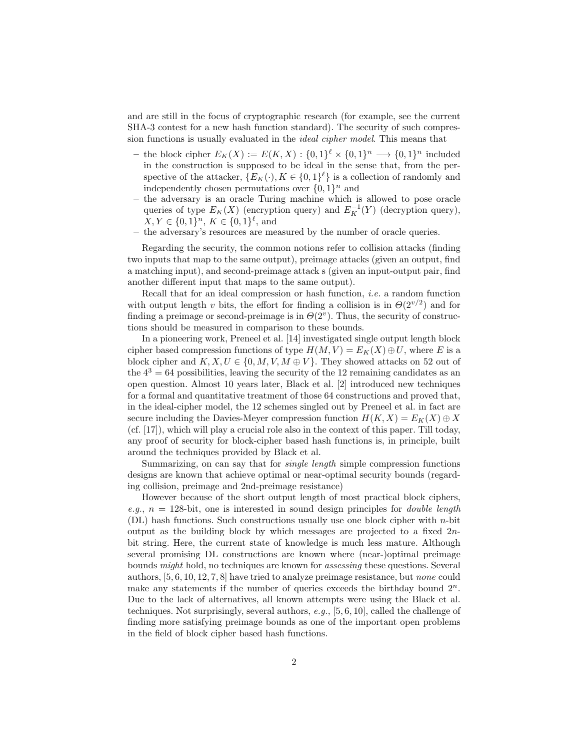and are still in the focus of cryptographic research (for example, see the current SHA-3 contest for a new hash function standard). The security of such compression functions is usually evaluated in the ideal cipher model. This means that

- the block cipher  $E_K(X) := E(K,X) : \{0,1\}^{\ell} \times \{0,1\}^n \longrightarrow \{0,1\}^n$  included in the construction is supposed to be ideal in the sense that, from the perspective of the attacker,  $\{E_K(\cdot), K \in \{0,1\}^{\ell}\}\$ is a collection of randomly and independently chosen permutations over  $\{0,1\}^n$  and
- the adversary is an oracle Turing machine which is allowed to pose oracle queries of type  $E_K(X)$  (encryption query) and  $E_K^{-1}(Y)$  (decryption query),  $X, Y \in \{0, 1\}^n, K \in \{0, 1\}^{\ell}, \text{ and}$
- the adversary's resources are measured by the number of oracle queries.

Regarding the security, the common notions refer to collision attacks (finding two inputs that map to the same output), preimage attacks (given an output, find a matching input), and second-preimage attack s (given an input-output pair, find another different input that maps to the same output).

Recall that for an ideal compression or hash function, i.e. a random function with output length v bits, the effort for finding a collision is in  $\Theta(2^{v/2})$  and for finding a preimage or second-preimage is in  $\Theta(2^v)$ . Thus, the security of constructions should be measured in comparison to these bounds.

In a pioneering work, Preneel et al. [14] investigated single output length block cipher based compression functions of type  $H(M, V) = E_K(X) \oplus U$ , where E is a block cipher and  $K, X, U \in \{0, M, V, M \oplus V\}$ . They showed attacks on 52 out of the  $4<sup>3</sup> = 64$  possibilities, leaving the security of the 12 remaining candidates as an open question. Almost 10 years later, Black et al. [2] introduced new techniques for a formal and quantitative treatment of those 64 constructions and proved that, in the ideal-cipher model, the 12 schemes singled out by Preneel et al. in fact are secure including the Davies-Meyer compression function  $H(K, X) = E_K(X) \oplus X$ (cf. [17]), which will play a crucial role also in the context of this paper. Till today, any proof of security for block-cipher based hash functions is, in principle, built around the techniques provided by Black et al.

Summarizing, on can say that for single length simple compression functions designs are known that achieve optimal or near-optimal security bounds (regarding collision, preimage and 2nd-preimage resistance)

However because of the short output length of most practical block ciphers, e.g.,  $n = 128$ -bit, one is interested in sound design principles for *double length* (DL) hash functions. Such constructions usually use one block cipher with n-bit output as the building block by which messages are projected to a fixed  $2n$ bit string. Here, the current state of knowledge is much less mature. Although several promising DL constructions are known where (near-)optimal preimage bounds might hold, no techniques are known for assessing these questions. Several authors, [5, 6, 10, 12, 7, 8] have tried to analyze preimage resistance, but none could make any statements if the number of queries exceeds the birthday bound  $2^n$ . Due to the lack of alternatives, all known attempts were using the Black et al. techniques. Not surprisingly, several authors,  $e.g., [5, 6, 10]$ , called the challenge of finding more satisfying preimage bounds as one of the important open problems in the field of block cipher based hash functions.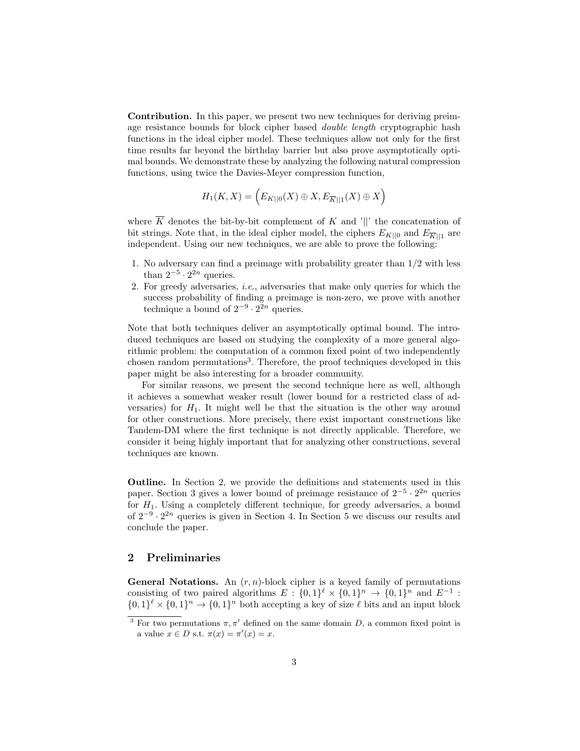Contribution. In this paper, we present two new techniques for deriving preimage resistance bounds for block cipher based *double length* cryptographic hash functions in the ideal cipher model. These techniques allow not only for the first time results far beyond the birthday barrier but also prove asymptotically optimal bounds. We demonstrate these by analyzing the following natural compression functions, using twice the Davies-Meyer compression function,

$$
H_1(K,X) = \left(E_{K||0}(X) \oplus X, E_{\overline{K}||1}(X) \oplus X\right)
$$

where  $\overline{K}$  denotes the bit-by-bit complement of K and '||' the concatenation of bit strings. Note that, in the ideal cipher model, the ciphers  $E_{K||0}$  and  $E_{\overline{K}||1}$  are independent. Using our new techniques, we are able to prove the following:

- 1. No adversary can find a preimage with probability greater than 1/2 with less than  $2^{-5} \cdot 2^{2n}$  queries.
- 2. For greedy adversaries, i.e., adversaries that make only queries for which the success probability of finding a preimage is non-zero, we prove with another technique a bound of  $2^{-9} \cdot 2^{2n}$  queries.

Note that both techniques deliver an asymptotically optimal bound. The introduced techniques are based on studying the complexity of a more general algorithmic problem: the computation of a common fixed point of two independently chosen random permutations<sup>3</sup>. Therefore, the proof techniques developed in this paper might be also interesting for a broader community.

For similar reasons, we present the second technique here as well, although it achieves a somewhat weaker result (lower bound for a restricted class of adversaries) for  $H_1$ . It might well be that the situation is the other way around for other constructions. More precisely, there exist important constructions like Tandem-DM where the first technique is not directly applicable. Therefore, we consider it being highly important that for analyzing other constructions, several techniques are known.

Outline. In Section 2, we provide the definitions and statements used in this paper. Section 3 gives a lower bound of preimage resistance of  $2^{-5} \cdot 2^{2n}$  queries for  $H_1$ . Using a completely different technique, for greedy adversaries, a bound of  $2^{-9} \cdot 2^{2n}$  queries is given in Section 4. In Section 5 we discuss our results and conclude the paper.

## 2 Preliminaries

**General Notations.** An  $(r, n)$ -block cipher is a keyed family of permutations consisting of two paired algorithms  $E: \{0,1\}^{\ell} \times \{0,1\}^n \rightarrow \{0,1\}^n$  and  $E^{-1}$ :  $\{0,1\}^{\ell} \times \{0,1\}^n \to \{0,1\}^n$  both accepting a key of size  $\ell$  bits and an input block

<sup>&</sup>lt;sup>3</sup> For two permutations  $\pi, \pi'$  defined on the same domain D, a common fixed point is a value  $x \in D$  s.t.  $\pi(x) = \pi'(x) = x$ .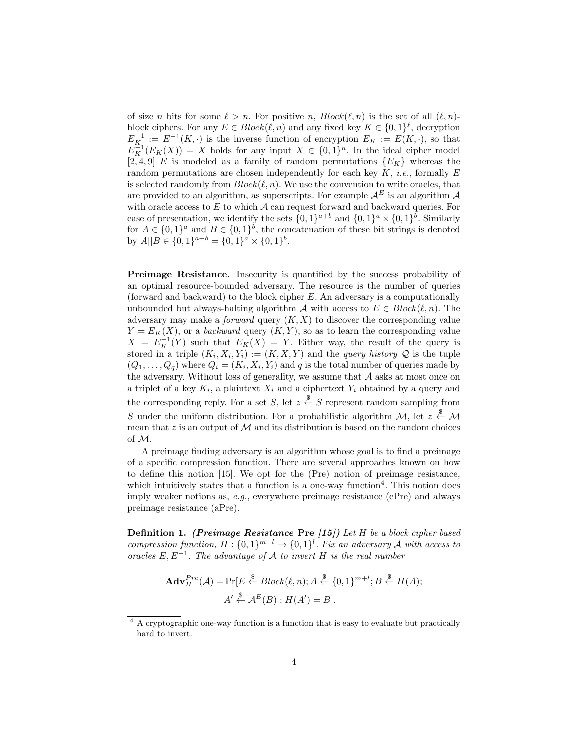of size n bits for some  $\ell > n$ . For positive n,  $Block(\ell, n)$  is the set of all  $(\ell, n)$ block ciphers. For any  $E \in Block(\ell, n)$  and any fixed key  $K \in \{0, 1\}^{\ell}$ , decryption  $E_{K_1}^{-1} := E^{-1}(K, \cdot)$  is the inverse function of encryption  $E_K := E(K, \cdot)$ , so that  $E_K^{-1}(E_K(X)) = X$  holds for any input  $X \in \{0,1\}^n$ . In the ideal cipher model [2, 4, 9] E is modeled as a family of random permutations  ${E_K}$  whereas the random permutations are chosen independently for each key  $K$ , *i.e.*, formally  $E$ is selected randomly from  $Block(\ell, n)$ . We use the convention to write oracles, that are provided to an algorithm, as superscripts. For example  $A^E$  is an algorithm A with oracle access to  $E$  to which  $\mathcal A$  can request forward and backward queries. For ease of presentation, we identify the sets  $\{0,1\}^{a+b}$  and  $\{0,1\}^a \times \{0,1\}^b$ . Similarly for  $A \in \{0,1\}^a$  and  $B \in \{0,1\}^b$ , the concatenation of these bit strings is denoted by  $A||B \in \{0,1\}^{a+b} = \{0,1\}^a \times \{0,1\}^b$ .

Preimage Resistance. Insecurity is quantified by the success probability of an optimal resource-bounded adversary. The resource is the number of queries (forward and backward) to the block cipher E. An adversary is a computationally unbounded but always-halting algorithm A with access to  $E \in Block(\ell, n)$ . The adversary may make a *forward* query  $(K, X)$  to discover the corresponding value  $Y = E_K(X)$ , or a backward query  $(K, Y)$ , so as to learn the corresponding value  $X = E_K^{-1}(Y)$  such that  $E_K(X) = Y$ . Either way, the result of the query is stored in a triple  $(K_i, X_i, Y_i) := (K, X, Y)$  and the *query history*  $\mathcal Q$  is the tuple  $(Q_1, \ldots, Q_q)$  where  $Q_i = (K_i, X_i, Y_i)$  and q is the total number of queries made by the adversary. Without loss of generality, we assume that  $A$  asks at most once on a triplet of a key  $K_i$ , a plaintext  $X_i$  and a ciphertext  $Y_i$  obtained by a query and the corresponding reply. For a set S, let  $z \stackrel{\$}{\leftarrow} S$  represent random sampling from S under the uniform distribution. For a probabilistic algorithm  $\mathcal{M}$ , let  $z \stackrel{\$}{\leftarrow} \mathcal{M}$ mean that  $z$  is an output of  $M$  and its distribution is based on the random choices of M.

A preimage finding adversary is an algorithm whose goal is to find a preimage of a specific compression function. There are several approaches known on how to define this notion [15]. We opt for the (Pre) notion of preimage resistance, which intuitively states that a function is a one-way function<sup>4</sup>. This notion does imply weaker notions as,  $e.g.,$  everywhere preimage resistance (ePre) and always preimage resistance (aPre).

**Definition 1.** (Preimage Resistance Pre  $(15)$ ) Let H be a block cipher based compression function,  $H: \{0,1\}^{m+l} \to \{0,1\}^l$ . Fix an adversary A with access to oracles  $E, E^{-1}$ . The advantage of A to invert H is the real number

$$
\mathbf{Adv}_{H}^{Pre}(\mathcal{A}) = \Pr[E \stackrel{\$}{\leftarrow} Block(\ell, n); A \stackrel{\$}{\leftarrow} \{0, 1\}^{m+l}; B \stackrel{\$}{\leftarrow} H(A);
$$

$$
A' \stackrel{\$}{\leftarrow} \mathcal{A}^{E}(B) : H(A') = B].
$$

<sup>&</sup>lt;sup>4</sup> A cryptographic one-way function is a function that is easy to evaluate but practically hard to invert.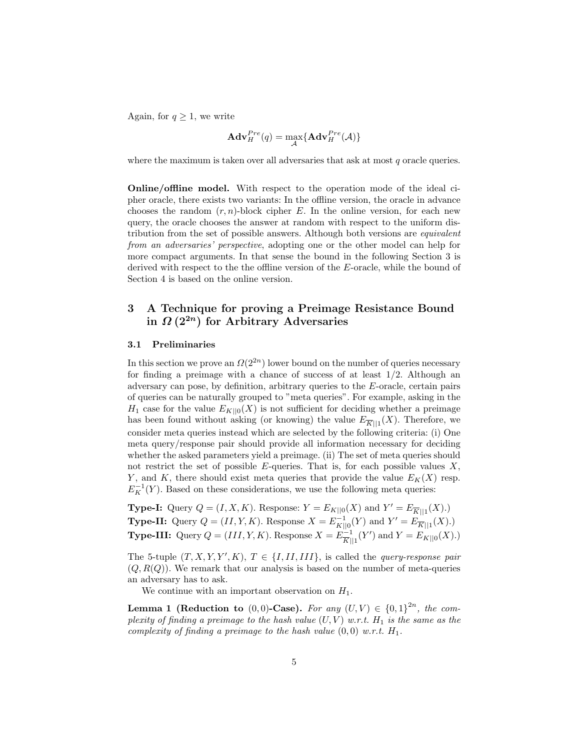Again, for  $q \geq 1$ , we write

$$
\mathbf{Adv}_{H}^{Pre}(q) = \max_{\mathcal{A}} \{ \mathbf{Adv}_{H}^{Pre}(\mathcal{A}) \}
$$

where the maximum is taken over all adversaries that ask at most  $q$  oracle queries.

Online/offline model. With respect to the operation mode of the ideal cipher oracle, there exists two variants: In the offline version, the oracle in advance chooses the random  $(r, n)$ -block cipher E. In the online version, for each new query, the oracle chooses the answer at random with respect to the uniform distribution from the set of possible answers. Although both versions are *equivalent* from an adversaries' perspective, adopting one or the other model can help for more compact arguments. In that sense the bound in the following Section 3 is derived with respect to the the offline version of the E-oracle, while the bound of Section 4 is based on the online version.

# 3 A Technique for proving a Preimage Resistance Bound in  $\Omega(2^{2n})$  for Arbitrary Adversaries

#### 3.1 Preliminaries

In this section we prove an  $\Omega(2^{2n})$  lower bound on the number of queries necessary for finding a preimage with a chance of success of at least  $1/2$ . Although an adversary can pose, by definition, arbitrary queries to the E-oracle, certain pairs of queries can be naturally grouped to "meta queries". For example, asking in the  $H_1$  case for the value  $E_{K||0}(X)$  is not sufficient for deciding whether a preimage has been found without asking (or knowing) the value  $E_{\overline{K}||1}(X)$ . Therefore, we consider meta queries instead which are selected by the following criteria: (i) One meta query/response pair should provide all information necessary for deciding whether the asked parameters yield a preimage. (ii) The set of meta queries should not restrict the set of possible  $E$ -queries. That is, for each possible values  $X$ , Y, and K, there should exist meta queries that provide the value  $E_K(X)$  resp.  $E_K^{-1}(Y)$ . Based on these considerations, we use the following meta queries:

**Type-I:** Query  $Q = (I, X, K)$ . Response:  $Y = E_{K||0}(X)$  and  $Y' = E_{\overline{K}||1}(X)$ .) **Type-II:** Query  $Q = (II, Y, K)$ . Response  $X = E_{K||0}^{-1}(Y)$  and  $Y' = E_{\overline{K}||1}^{-1}(X)$ .) **Type-III:** Query  $Q = (III, Y, K)$ . Response  $X = E^{-1}_{\overline{R}}$  $\frac{1}{|K| \cdot 1}(Y')$  and  $Y = E_{K||0}(X)$ .)

The 5-tuple  $(T, X, Y, Y', K), T \in \{I, II, III\}$ , is called the *query-response pair*  $(Q, R(Q))$ . We remark that our analysis is based on the number of meta-queries an adversary has to ask.

We continue with an important observation on  $H_1$ .

**Lemma 1 (Reduction to** (0,0)-Case). For any  $(U, V) \in \{0, 1\}^{2n}$ , the complexity of finding a preimage to the hash value  $(U, V)$  w.r.t.  $H_1$  is the same as the complexity of finding a preimage to the hash value  $(0,0)$  w.r.t.  $H_1$ .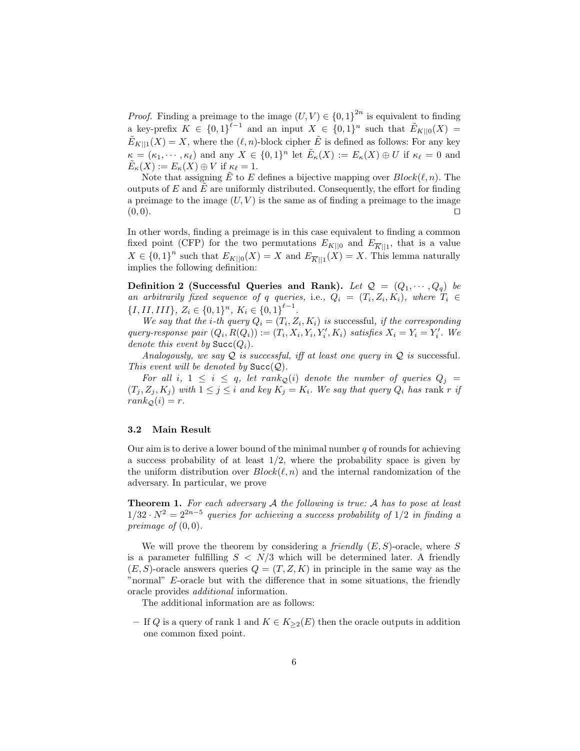*Proof.* Finding a preimage to the image  $(U, V) \in \{0, 1\}^{2n}$  is equivalent to finding a key-prefix  $K \in \{0,1\}^{\ell-1}$  and an input  $X \in \{0,1\}^n$  such that  $\tilde{E}_{K||0}(X) =$  $\tilde{E}_{K||1}(X) = X$ , where the  $(\ell, n)$ -block cipher  $\tilde{E}$  is defined as follows: For any key  $\kappa = (\kappa_1, \cdots, \kappa_\ell)$  and any  $X \in \{0,1\}^n$  let  $\tilde{E}_\kappa(X) := E_\kappa(X) \oplus U$  if  $\kappa_\ell = 0$  and  $\tilde{E}_{\kappa}(X) := E_{\kappa}(X) \oplus V$  if  $\kappa_{\ell} = 1$ .

Note that assigning  $\tilde{E}$  to E defines a bijective mapping over  $Block(\ell, n)$ . The outputs of  $E$  and  $E$  are uniformly distributed. Consequently, the effort for finding a preimage to the image  $(U, V)$  is the same as of finding a preimage to the image  $(0,0).$ 

In other words, finding a preimage is in this case equivalent to finding a common fixed point (CFP) for the two permutations  $E_{K||0}$  and  $E_{\overline{K}||1}$ , that is a value  $X \in \{0,1\}^n$  such that  $E_{K||0}(X) = X$  and  $E_{\overline{K}||1}(X) = X$ . This lemma naturally implies the following definition:

Definition 2 (Successful Queries and Rank). Let  $\mathcal{Q} = (Q_1, \dots, Q_q)$  be an arbitrarily fixed sequence of q queries, i.e.,  $Q_i = (T_i, Z_i, K_i)$ , where  $T_i \in$  $\{I, II, III\}, Z_i \in \{0,1\}^n, K_i \in \{0,1\}^{\ell-1}.$ 

We say that the *i*-th query  $Q_i = (T_i, Z_i, K_i)$  is successful, if the corresponding query-response pair  $(Q_i, R(Q_i)) := (T_i, X_i, Y_i, Y_i', K_i)$  satisfies  $X_i = Y_i = Y_i'$ . We denote this event by  $\text{Succ}(Q_i)$ .

Analogously, we say  $Q$  is successful, iff at least one query in  $Q$  is successful. This event will be denoted by  $\text{Succ}(\mathcal{Q})$ .

For all i,  $1 \leq i \leq q$ , let rank<sub>Q</sub>(i) denote the number of queries  $Q_j =$  $(T_i, Z_i, K_j)$  with  $1 \leq j \leq i$  and key  $K_j = K_i$ . We say that query  $Q_i$  has rank r if  $rank_{\mathcal{Q}}(i) = r.$ 

#### 3.2 Main Result

Our aim is to derive a lower bound of the minimal number  $q$  of rounds for achieving a success probability of at least  $1/2$ , where the probability space is given by the uniform distribution over  $Block(\ell, n)$  and the internal randomization of the adversary. In particular, we prove

**Theorem 1.** For each adversary  $A$  the following is true:  $A$  has to pose at least  $1/32 \cdot N^2 = 2^{2n-5}$  queries for achieving a success probability of  $1/2$  in finding a preimage of  $(0, 0)$ .

We will prove the theorem by considering a *friendly*  $(E, S)$ -oracle, where S is a parameter fulfilling  $S < N/3$  which will be determined later. A friendly  $(E, S)$ -oracle answers queries  $Q = (T, Z, K)$  in principle in the same way as the "normal" E-oracle but with the difference that in some situations, the friendly oracle provides additional information.

The additional information are as follows:

– If Q is a query of rank 1 and  $K \in K_{\geq 2}(E)$  then the oracle outputs in addition one common fixed point.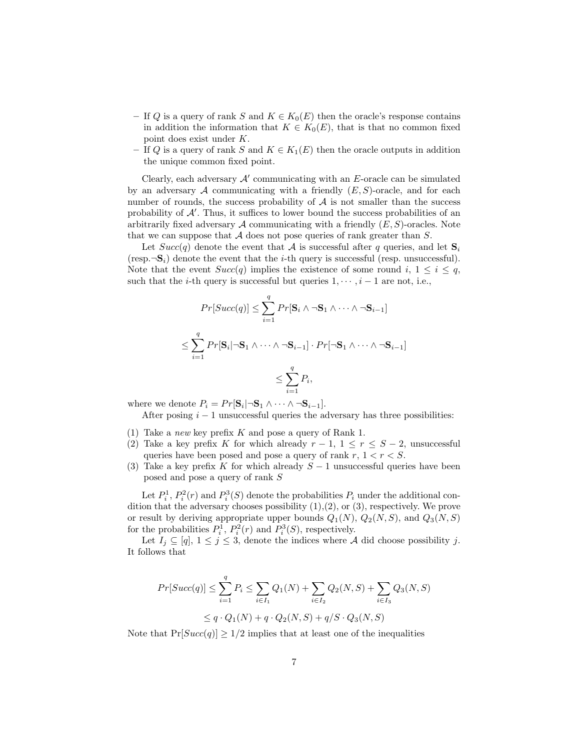- If Q is a query of rank S and  $K \in K_0(E)$  then the oracle's response contains in addition the information that  $K \in K_0(E)$ , that is that no common fixed point does exist under K.
- If Q is a query of rank S and  $K \in K_1(E)$  then the oracle outputs in addition the unique common fixed point.

Clearly, each adversary  $A'$  communicating with an  $E$ -oracle can be simulated by an adversary A communicating with a friendly  $(E, S)$ -oracle, and for each number of rounds, the success probability of  $A$  is not smaller than the success probability of  $A'$ . Thus, it suffices to lower bound the success probabilities of an arbitrarily fixed adversary  $A$  communicating with a friendly  $(E, S)$ -oracles. Note that we can suppose that  $A$  does not pose queries of rank greater than  $S$ .

Let  $Succ(q)$  denote the event that A is successful after q queries, and let  $S_i$ (resp. $\neg S_i$ ) denote the event that the *i*-th query is successful (resp. unsuccessful). Note that the event  $Succ(q)$  implies the existence of some round i,  $1 \leq i \leq q$ , such that the *i*-th query is successful but queries  $1, \dots, i-1$  are not, i.e.,

$$
Pr[Succ(q)] \leq \sum_{i=1}^{q} Pr[\mathbf{S}_i \wedge \neg \mathbf{S}_1 \wedge \dots \wedge \neg \mathbf{S}_{i-1}]
$$
  

$$
\leq \sum_{i=1}^{q} Pr[\mathbf{S}_i | \neg \mathbf{S}_1 \wedge \dots \wedge \neg \mathbf{S}_{i-1}] \cdot Pr[\neg \mathbf{S}_1 \wedge \dots \wedge \neg \mathbf{S}_{i-1}]
$$
  

$$
\leq \sum_{i=1}^{q} P_i,
$$

where we denote  $P_i = Pr[\mathbf{S}_i | \neg \mathbf{S}_1 \wedge \cdots \wedge \neg \mathbf{S}_{i-1}].$ 

After posing  $i - 1$  unsuccessful queries the adversary has three possibilities:

- (1) Take a *new* key prefix K and pose a query of Rank 1.
- (2) Take a key prefix K for which already  $r-1$ ,  $1 \leq r \leq S-2$ , unsuccessful queries have been posed and pose a query of rank  $r, 1 < r < S$ .
- (3) Take a key prefix K for which already  $S-1$  unsuccessful queries have been posed and pose a query of rank S

Let  $P_i^1$ ,  $P_i^2(r)$  and  $P_i^3(S)$  denote the probabilities  $P_i$  under the additional condition that the adversary chooses possibility  $(1),(2)$ , or  $(3)$ , respectively. We prove or result by deriving appropriate upper bounds  $Q_1(N)$ ,  $Q_2(N, S)$ , and  $Q_3(N, S)$ for the probabilities  $P_i^1$ ,  $P_i^2(r)$  and  $P_i^3(S)$ , respectively.

Let  $I_j \subseteq [q], 1 \leq j \leq 3$ , denote the indices where A did choose possibility j. It follows that

$$
Pr[Succ(q)] \le \sum_{i=1}^{q} P_i \le \sum_{i \in I_1} Q_1(N) + \sum_{i \in I_2} Q_2(N, S) + \sum_{i \in I_3} Q_3(N, S)
$$
  

$$
\le q \cdot Q_1(N) + q \cdot Q_2(N, S) + q/S \cdot Q_3(N, S)
$$

Note that  $Pr[Succ(q)] \ge 1/2$  implies that at least one of the inequalities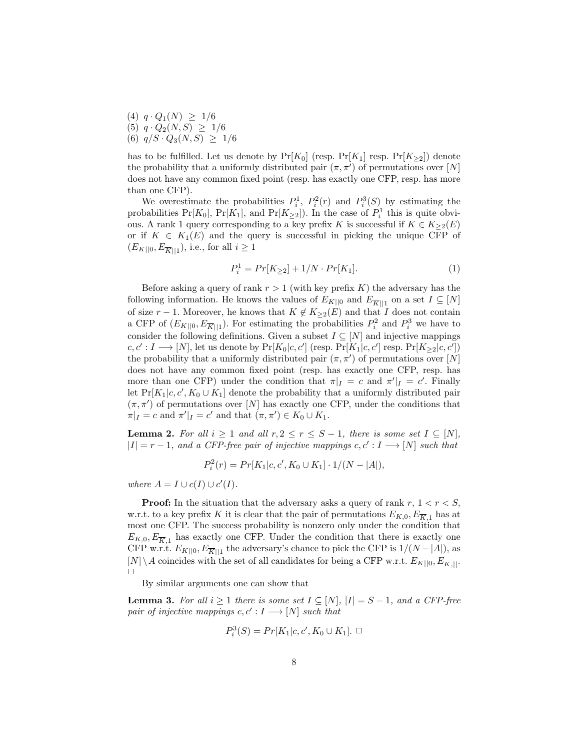$(4)$   $q \cdot Q_1(N) \geq 1/6$ (5)  $q \cdot Q_2(N, S) \geq 1/6$ (6)  $q/S \cdot Q_3(N, S) \geq 1/6$ 

has to be fulfilled. Let us denote by  $Pr[K_0]$  (resp.  $Pr[K_1]$  resp.  $Pr[K_{\geq 2}]$ ) denote the probability that a uniformly distributed pair  $(\pi, \pi')$  of permutations over [N] does not have any common fixed point (resp. has exactly one CFP, resp. has more than one CFP).

We overestimate the probabilities  $P_i^1$ ,  $P_i^2(r)$  and  $P_i^3(S)$  by estimating the probabilities  $Pr[K_0]$ ,  $Pr[K_1]$ , and  $Pr[K_{\geq 2}]$ ). In the case of  $P_i^1$  this is quite obvious. A rank 1 query corresponding to a key prefix K is successful if  $K \in K_{\geq 2}(E)$ or if  $K \in K_1(E)$  and the query is successful in picking the unique CFP of  $(E_{K||0}, E_{\overline{K}||1}),$  i.e., for all  $i \geq 1$ 

$$
P_i^1 = Pr[K_{\geq 2}] + 1/N \cdot Pr[K_1]. \tag{1}
$$

Before asking a query of rank  $r > 1$  (with key prefix K) the adversary has the following information. He knows the values of  $E_{K||0}$  and  $E_{\overline{K}||1}$  on a set  $I \subseteq [N]$ of size  $r - 1$ . Moreover, he knows that  $K \notin K_{\geq 2}(E)$  and that I does not contain a CFP of  $(E_{K||0}, E_{\overline{K}||1})$ . For estimating the probabilities  $P_i^2$  and  $P_i^3$  we have to consider the following definitions. Given a subset  $I \subseteq [N]$  and injective mappings  $c, c' : I \longrightarrow [N]$ , let us denote by  $Pr[K_0|c, c']$  (resp.  $Pr[K_1|c, c']$  resp.  $Pr[K_{\geq 2}|c, c'])$ the probability that a uniformly distributed pair  $(\pi, \pi')$  of permutations over [N] does not have any common fixed point (resp. has exactly one CFP, resp. has more than one CFP) under the condition that  $\pi|_I = c$  and  $\pi'|_I = c'$ . Finally let  $Pr[K_1|c, c', K_0 \cup K_1]$  denote the probability that a uniformly distributed pair  $(\pi, \pi')$  of permutations over [N] has exactly one CFP, under the conditions that  $\pi|_I = c$  and  $\pi'|_I = c'$  and that  $(\pi, \pi') \in K_0 \cup K_1$ .

**Lemma 2.** For all  $i \geq 1$  and all  $r, 2 \leq r \leq S-1$ , there is some set  $I \subseteq [N]$ ,  $|I| = r - 1$ , and a CFP-free pair of injective mappings c, c' : I  $\longrightarrow$  [N] such that

$$
P_i^2(r) = Pr[K_1|c, c', K_0 \cup K_1] \cdot 1/(N - |A|),
$$

where  $A = I \cup c(I) \cup c'(I)$ .

**Proof:** In the situation that the adversary asks a query of rank  $r, 1 < r < S$ , w.r.t. to a key prefix K it is clear that the pair of permutations  $E_{K,0}, E_{\overline{K},1}$  has at most one CFP. The success probability is nonzero only under the condition that  $E_{K,0}, E_{\overline{K},1}$  has exactly one CFP. Under the condition that there is exactly one CFP w.r.t.  $E_{K||0}, E_{\overline{K}||1}$  the adversary's chance to pick the CFP is  $1/(N-|A|)$ , as  $[N]\setminus A$  coincides with the set of all candidates for being a CFP w.r.t.  $E_{K||0}, E_{\overline{K},||}$ .  $\Box$ 

By similar arguments one can show that

P

**Lemma 3.** For all  $i \geq 1$  there is some set  $I \subseteq [N]$ ,  $|I| = S - 1$ , and a CFP-free pair of injective mappings  $c, c': I \longrightarrow [N]$  such that

$$
P_i^3(S) = Pr[K_1|c, c', K_0 \cup K_1]. \ \Box
$$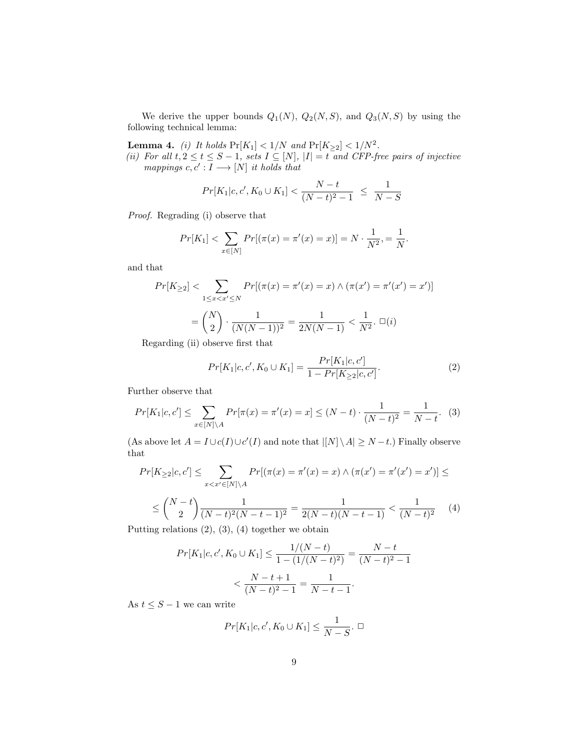We derive the upper bounds  $Q_1(N)$ ,  $Q_2(N, S)$ , and  $Q_3(N, S)$  by using the following technical lemma:

**Lemma 4.** (i) It holds  $Pr[K_1] < 1/N$  and  $Pr[K_{\geq 2}] < 1/N^2$ .

(ii) For all  $t, 2 \le t \le S - 1$ , sets  $I \subseteq [N]$ ,  $|I| = t$  and CFP-free pairs of injective mappings  $c, c' : I \longrightarrow [N]$  it holds that

$$
Pr[K_1|c, c', K_0 \cup K_1] < \frac{N-t}{(N-t)^2 - 1} \leq \frac{1}{N-S}
$$

Proof. Regrading (i) observe that

$$
Pr[K_1] < \sum_{x \in [N]} Pr[(\pi(x) = \pi'(x) = x)] = N \cdot \frac{1}{N^2} = \frac{1}{N}.
$$

and that

$$
Pr[K_{\geq 2}] < \sum_{1 \leq x < x' \leq N} Pr[(\pi(x) = \pi'(x) = x) \land (\pi(x') = \pi'(x') = x')]
$$
\n
$$
= \binom{N}{2} \cdot \frac{1}{(N(N-1))^2} = \frac{1}{2N(N-1)} < \frac{1}{N^2}.\ \Box(i)
$$

Regarding (ii) observe first that

$$
Pr[K_1|c, c', K_0 \cup K_1] = \frac{Pr[K_1|c, c']}{1 - Pr[K_{\geq 2}|c, c']}. \tag{2}
$$

Further observe that

$$
Pr[K_1|c, c'] \le \sum_{x \in [N] \setminus A} Pr[\pi(x) = \pi'(x) = x] \le (N - t) \cdot \frac{1}{(N - t)^2} = \frac{1}{N - t}.
$$
 (3)

(As above let  $A = I \cup c(I) \cup c'(I)$  and note that  $\vert [N] \setminus A \vert \geq N-t$ .) Finally observe that

$$
Pr[K_{\geq 2}|c, c'] \leq \sum_{x < x' \in [N] \setminus A} Pr[(\pi(x) = \pi'(x) = x) \land (\pi(x') = \pi'(x') = x')] \leq
$$
\n
$$
\leq \binom{N-t}{2} \frac{1}{(N-t)^2 (N-t-1)^2} = \frac{1}{2(N-t)(N-t-1)} < \frac{1}{(N-t)^2} \tag{4}
$$

Putting relations  $(2), (3), (4)$  together we obtain

$$
Pr[K_1|c, c', K_0 \cup K_1] \le \frac{1/(N-t)}{1 - (1/(N-t)^2)} = \frac{N-t}{(N-t)^2 - 1}
$$

$$
< \frac{N-t+1}{(N-t)^2 - 1} = \frac{1}{N-t-1}.
$$

As  $t \leq S - 1$  we can write

$$
Pr[K_1|c, c', K_0 \cup K_1] \le \frac{1}{N - S}.\ \Box
$$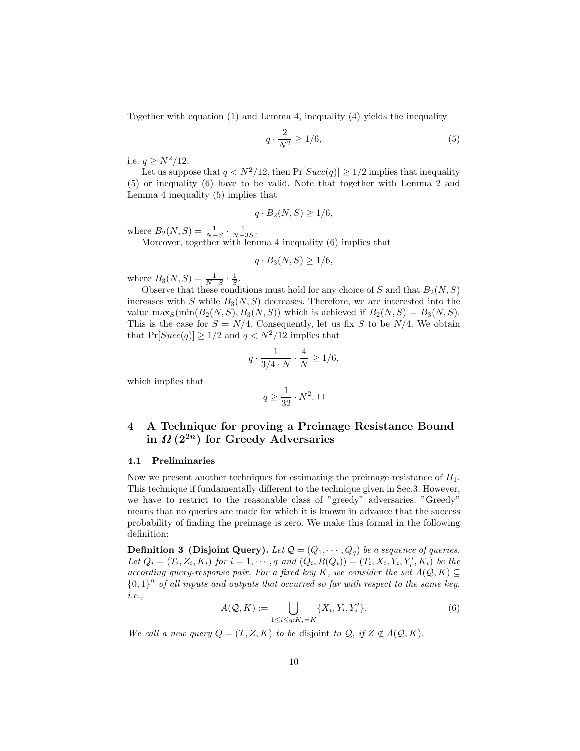Together with equation (1) and Lemma 4, inequality (4) yields the inequality

$$
q \cdot \frac{2}{N^2} \ge 1/6,\tag{5}
$$

i.e.  $q \ge N^2/12$ .

Let us suppose that  $q < N^2/12$ , then  $Pr[Succ(q)] \geq 1/2$  implies that inequality (5) or inequality (6) have to be valid. Note that together with Lemma 2 and Lemma 4 inequality (5) implies that

$$
q \cdot B_2(N, S) \ge 1/6,
$$

where  $B_2(N, S) = \frac{1}{N-S} \cdot \frac{1}{N-3S}$ .

Moreover, together with lemma 4 inequality (6) implies that

$$
q \cdot B_3(N, S) \ge 1/6,
$$

where  $B_3(N, S) = \frac{1}{N-S} \cdot \frac{1}{S}$ .

Observe that these conditions must hold for any choice of S and that  $B_2(N, S)$ increases with S while  $B_3(N, S)$  decreases. Therefore, we are interested into the value  $\max_S(\min(B_2(N, S), B_3(N, S))$  which is achieved if  $B_2(N, S) = B_3(N, S)$ . This is the case for  $S = N/4$ . Consequently, let us fix S to be  $N/4$ . We obtain that  $Pr[Succ(q)] > 1/2$  and  $q < N^2/12$  implies that

$$
q \cdot \frac{1}{3/4 \cdot N} \cdot \frac{4}{N} \ge 1/6,
$$

which implies that

$$
q\geq \frac{1}{32}\cdot N^2.~\square
$$

# 4 A Technique for proving a Preimage Resistance Bound in  $\Omega(2^{2n})$  for Greedy Adversaries

#### 4.1 Preliminaries

Now we present another techniques for estimating the preimage resistance of  $H_1$ . This technique if fundamentally different to the technique given in Sec.3. However, we have to restrict to the reasonable class of "greedy" adversaries. "Greedy" means that no queries are made for which it is known in advance that the success probability of finding the preimage is zero. We make this formal in the following definition:

**Definition 3** (Disjoint Query). Let  $Q = (Q_1, \dots, Q_q)$  be a sequence of queries. Let  $Q_i = (T_i, Z_i, K_i)$  for  $i = 1, \dots, q$  and  $(Q_i, R(Q_i)) = (T_i, X_i, Y_i, Y_i', K_i)$  be the according query-response pair. For a fixed key K, we consider the set  $A(Q, K) \subseteq$  ${0,1}^n$  of all inputs and outputs that occurred so far with respect to the same key, i.e.,

$$
A(\mathcal{Q}, K) := \bigcup_{1 \leq i \leq q: K_i = K} \{X_i, Y_i, Y'_i\}.
$$
\n
$$
(6)
$$

We call a new query  $Q = (T, Z, K)$  to be disjoint to  $Q$ , if  $Z \notin A(Q, K)$ .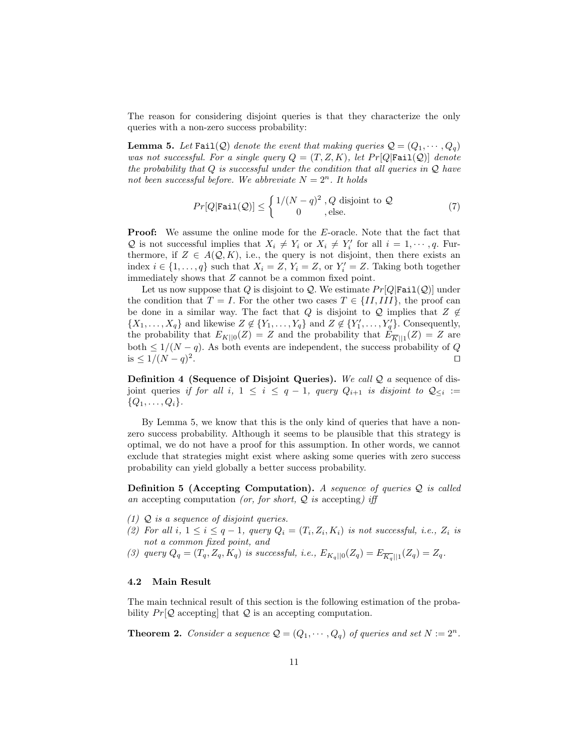The reason for considering disjoint queries is that they characterize the only queries with a non-zero success probability:

**Lemma 5.** Let Fail(Q) denote the event that making queries  $Q = (Q_1, \dots, Q_q)$ was not successful. For a single query  $Q = (T, Z, K)$ , let  $Pr[Q|\text{fail}(Q)]$  denote the probability that  $Q$  is successful under the condition that all queries in  $Q$  have not been successful before. We abbreviate  $N = 2<sup>n</sup>$ . It holds

$$
Pr[Q|\text{Fair}(Q)] \le \begin{cases} 1/(N-q)^2, Q \text{ disjoint to } Q\\ 0, \text{ else.} \end{cases}
$$
(7)

**Proof:** We assume the online mode for the E-oracle. Note that the fact that Q is not successful implies that  $X_i \neq Y_i$  or  $X_i \neq Y'_i$  for all  $i = 1, \dots, q$ . Furthermore, if  $Z \in A(Q, K)$ , i.e., the query is not disjoint, then there exists an index  $i \in \{1, ..., q\}$  such that  $X_i = Z$ ,  $Y_i = Z$ , or  $Y'_i = Z$ . Taking both together immediately shows that Z cannot be a common fixed point.

Let us now suppose that Q is disjoint to Q. We estimate  $Pr[Q|\text{fail}(Q)]$  under the condition that  $T = I$ . For the other two cases  $T \in \{II, III\}$ , the proof can be done in a similar way. The fact that Q is disjoint to Q implies that  $Z \notin$  $\{X_1, \ldots, X_q\}$  and likewise  $Z \notin \{Y_1, \ldots, Y_q\}$  and  $Z \notin \{Y'_1, \ldots, Y'_q\}$ . Consequently, the probability that  $E_{K||0}(Z) = Z$  and the probability that  $E_{\overline{K}||1}(Z) = Z$  are both  $\leq 1/(N-q)$ . As both events are independent, the success probability of Q is  $≤ 1/(N - q)^2$ . The contract of the contract of the contract of the contract of  $\Box$ 

**Definition 4 (Sequence of Disjoint Queries).** We call  $Q$  a sequence of disjoint queries if for all i,  $1 \leq i \leq q-1$ , query  $Q_{i+1}$  is disjoint to  $\mathcal{Q}_{\leq i} :=$  $\{Q_1, \ldots, Q_i\}.$ 

By Lemma 5, we know that this is the only kind of queries that have a nonzero success probability. Although it seems to be plausible that this strategy is optimal, we do not have a proof for this assumption. In other words, we cannot exclude that strategies might exist where asking some queries with zero success probability can yield globally a better success probability.

**Definition 5 (Accepting Computation).** A sequence of queries  $Q$  is called an accepting computation (or, for short,  $Q$  is accepting) iff

- $(1)$  Q is a sequence of disjoint queries.
- (2) For all  $i, 1 \leq i \leq q-1$ , query  $Q_i = (T_i, Z_i, K_i)$  is not successful, i.e.,  $Z_i$  is not a common fixed point, and
- (3) query  $Q_q = (T_q, Z_q, K_q)$  is successful, i.e.,  $E_{K_q||0}(Z_q) = E_{\overline{K_q}||1}(Z_q) = Z_q$ .

#### 4.2 Main Result

The main technical result of this section is the following estimation of the probability  $Pr[Q]$  accepting that Q is an accepting computation.

**Theorem 2.** Consider a sequence  $Q = (Q_1, \dots, Q_q)$  of queries and set  $N := 2^n$ .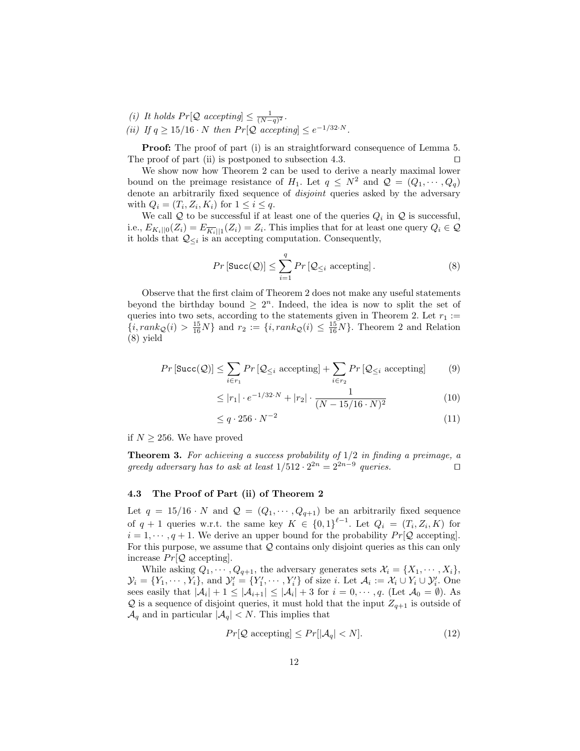- (i) It holds  $Pr[Q \text{ accepting}] \leq \frac{1}{(N-q)^2}$ .
- (ii) If  $q \geq 15/16 \cdot N$  then  $Pr[Q$  accepting  $\leq e^{-1/32 \cdot N}$ .

**Proof:** The proof of part (i) is an straightforward consequence of Lemma 5. The proof of part (ii) is postponed to subsection 4.3.  $\Box$ 

We show now how Theorem 2 can be used to derive a nearly maximal lower bound on the preimage resistance of  $H_1$ . Let  $q \leq N^2$  and  $\mathcal{Q} = (Q_1, \dots, Q_q)$ denote an arbitrarily fixed sequence of *disjoint* queries asked by the adversary with  $Q_i = (T_i, Z_i, K_i)$  for  $1 \leq i \leq q$ .

We call  $\mathcal Q$  to be successful if at least one of the queries  $Q_i$  in  $\mathcal Q$  is successful, i.e.,  $E_{K_i||0}(Z_i) = E_{\overline{K_i}||1}(Z_i) = Z_i$ . This implies that for at least one query  $Q_i \in \mathcal{Q}$ it holds that  $\mathcal{Q}_{\leq i}$  is an accepting computation. Consequently,

$$
Pr\left[\text{Succ}(\mathcal{Q})\right] \le \sum_{i=1}^{q} Pr\left[\mathcal{Q}_{\le i} \text{ accepting}\right].\tag{8}
$$

Observe that the first claim of Theorem 2 does not make any useful statements beyond the birthday bound  $\geq 2^n$ . Indeed, the idea is now to split the set of queries into two sets, according to the statements given in Theorem 2. Let  $r_1 :=$  ${i, rank_Q(i) > \frac{15}{16}N}$  and  $r_2 := {i, rank_Q(i) \leq \frac{15}{16}N}$ . Theorem 2 and Relation (8) yield

$$
Pr\left[\text{Succ}(\mathcal{Q})\right] \le \sum_{i \in r_1} Pr\left[\mathcal{Q}_{\le i} \text{ accepting}\right] + \sum_{i \in r_2} Pr\left[\mathcal{Q}_{\le i} \text{ accepting}\right] \tag{9}
$$

$$
\leq |r_1| \cdot e^{-1/32 \cdot N} + |r_2| \cdot \frac{1}{(N - 15/16 \cdot N)^2} \tag{10}
$$

$$
\leq q \cdot 256 \cdot N^{-2} \tag{11}
$$

if  $N \geq 256$ . We have proved

**Theorem 3.** For achieving a success probability of  $1/2$  in finding a preimage, a greedy adversary has to ask at least  $1/512 \cdot 2^{2n} = 2^{2n-9}$  queries.

#### 4.3 The Proof of Part (ii) of Theorem 2

Let  $q = 15/16 \cdot N$  and  $\mathcal{Q} = (Q_1, \dots, Q_{q+1})$  be an arbitrarily fixed sequence of  $q + 1$  queries w.r.t. the same key  $K \in \{0,1\}^{\ell-1}$ . Let  $Q_i = (T_i, Z_i, K)$  for  $i = 1, \dots, q + 1$ . We derive an upper bound for the probability  $Pr[Q \text{ accepting}]$ . For this purpose, we assume that  $Q$  contains only disjoint queries as this can only increase  $Pr[Q \text{ accepting}]$ .

While asking  $Q_1, \dots, Q_{q+1}$ , the adversary generates sets  $\mathcal{X}_i = \{X_1, \dots, X_i\}$ ,  $\mathcal{Y}_i = \{Y_1, \cdots, Y_i\}$ , and  $\mathcal{Y}'_i = \{Y'_1, \cdots, Y'_i\}$  of size *i*. Let  $\mathcal{A}_i := \mathcal{X}_i \cup Y_i \cup \mathcal{Y}'_i$ . One sees easily that  $|\mathcal{A}_i| + 1 \leq |\mathcal{A}_{i+1}| \leq |\mathcal{A}_i| + 3$  for  $i = 0, \dots, q$ . (Let  $\mathcal{A}_0 = \emptyset$ ). As  $\mathcal Q$  is a sequence of disjoint queries, it must hold that the input  $Z_{q+1}$  is outside of  $\mathcal{A}_q$  and in particular  $|\mathcal{A}_q| < N$ . This implies that

$$
Pr[\mathcal{Q}\text{ accepting}] \le Pr[|\mathcal{A}_q| < N].\tag{12}
$$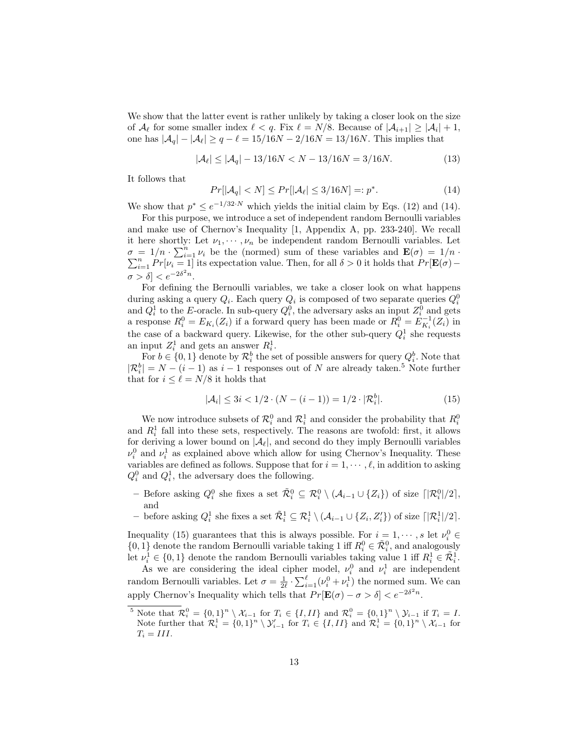We show that the latter event is rather unlikely by taking a closer look on the size of  $\mathcal{A}_{\ell}$  for some smaller index  $\ell < q$ . Fix  $\ell = N/8$ . Because of  $|\mathcal{A}_{i+1}| \geq |\mathcal{A}_{i}| + 1$ , one has  $|A_q| - |A_{\ell}| \ge q - \ell = 15/16N - 2/16N = 13/16N$ . This implies that

$$
|\mathcal{A}_{\ell}| \le |\mathcal{A}_{q}| - 13/16N < N - 13/16N = 3/16N. \tag{13}
$$

It follows that

$$
Pr[|\mathcal{A}_q| < N] \le Pr[|\mathcal{A}_\ell| \le 3/16N] =: p^*.
$$
\n<sup>(14)</sup>

We show that  $p^* \leq e^{-1/32 \cdot N}$  which yields the initial claim by Eqs. (12) and (14).

For this purpose, we introduce a set of independent random Bernoulli variables and make use of Chernov's Inequality [1, Appendix A, pp. 233-240]. We recall it here shortly: Let  $\nu_1, \dots, \nu_n$  be independent random Bernoulli variables. Let  $\sigma = 1/n \cdot \sum_{i=1}^{n} \nu_i$  be the (normed) sum of these variables and  $\mathbf{E}(\sigma) = 1/n \cdot \sum_{i=1}^{n} Pr[\nu_i = 1]$  its expectation value. Then, for all  $\delta > 0$  it holds that  $Pr[\mathbf{E}(\sigma) \sum_{i=1}^{n} Pr[\nu_i = 1]$  its expectation value. Then, for all  $\delta > 0$  it holds that  $Pr[\mathbf{E}(\sigma) \sigma > \delta < e^{-2\delta^2 n}.$ 

For defining the Bernoulli variables, we take a closer look on what happens during asking a query  $Q_i$ . Each query  $Q_i$  is composed of two separate queries  $Q_i^0$ and  $Q_i^1$  to the E-oracle. In sub-query  $Q_i^0$ , the adversary asks an input  $Z_i^0$  and gets a response  $R_i^0 = E_{K_i}(Z_i)$  if a forward query has been made or  $R_i^0 = E_{K_i}^{-1}(Z_i)$  in the case of a backward query. Likewise, for the other sub-query  $Q_i^1$  she requests an input  $Z_i^1$  and gets an answer  $R_i^1$ .

For  $b \in \{0, 1\}$  denote by  $\mathcal{R}_i^b$  the set of possible answers for query  $Q_i^b$ . Note that  $|\mathcal{R}_i^b| = N - (i - 1)$  as  $i - 1$  responses out of N are already taken.<sup>5</sup> Note further that for  $i \leq \ell = N/8$  it holds that

$$
|\mathcal{A}_i| \le 3i < 1/2 \cdot (N - (i - 1)) = 1/2 \cdot |\mathcal{R}_i^b|.\tag{15}
$$

We now introduce subsets of  $\mathcal{R}_i^0$  and  $\mathcal{R}_i^1$  and consider the probability that  $R_i^0$ and  $R_i^1$  fall into these sets, respectively. The reasons are twofold: first, it allows for deriving a lower bound on  $|\mathcal{A}_{\ell}|$ , and second do they imply Bernoulli variables  $\nu_i^0$  and  $\nu_i^1$  as explained above which allow for using Chernov's Inequality. These variables are defined as follows. Suppose that for  $i = 1, \dots, \ell$ , in addition to asking  $Q_i^0$  and  $Q_i^1$ , the adversary does the following.

- Before asking  $Q_i^0$  she fixes a set  $\tilde{\mathcal{R}}_i^0 \subseteq \mathcal{R}_i^0 \setminus (\mathcal{A}_{i-1} \cup \{Z_i\})$  of size  $\lceil |\mathcal{R}_i^0|/2 \rceil$ , and
- − before asking  $Q_i^1$  she fixes a set  $\tilde{\mathcal{R}}_i^1$  ⊆  $\mathcal{R}_i^1 \setminus (\mathcal{A}_{i-1} \cup \{Z_i, Z_i'\})$  of size  $\lceil |\mathcal{R}_i^1|/2 \rceil$ .

Inequality (15) guarantees that this is always possible. For  $i = 1, \dots, s$  let  $\nu_i^0 \in$  $\{0,1\}$  denote the random Bernoulli variable taking 1 iff  $R_i^0 \in \tilde{\mathcal{R}}_i^0$ , and analogously let  $\nu_i^1 \in \{0,1\}$  denote the random Bernoulli variables taking value 1 iff  $R_i^1 \in \tilde{\mathcal{R}}_i^1$ .

As we are considering the ideal cipher model,  $\nu_i^0$  and  $\nu_i^1$  are independent random Bernoulli variables. Let  $\sigma = \frac{1}{2\ell} \cdot \sum_{i=1}^{\ell} (\nu_i^0 + \nu_i^1)$  the normed sum. We can apply Chernov's Inequality which tells that  $Pr[\mathbf{E}(\sigma) - \sigma > \delta] < e^{-2\delta^2 n}$ .

<sup>&</sup>lt;sup>5</sup> Note that  $\mathcal{R}_i^0 = \{0,1\}^n \setminus \mathcal{X}_{i-1}$  for  $T_i \in \{I,II\}$  and  $\mathcal{R}_i^0 = \{0,1\}^n \setminus \mathcal{Y}_{i-1}$  if  $T_i = I$ . Note further that  $\mathcal{R}_i^1 = \{0,1\}^n \setminus \mathcal{Y}_{i-1}'$  for  $T_i \in \{I,II\}$  and  $\mathcal{R}_i^1 = \{0,1\}^n \setminus \mathcal{X}_{i-1}$  for  $T_i = III.$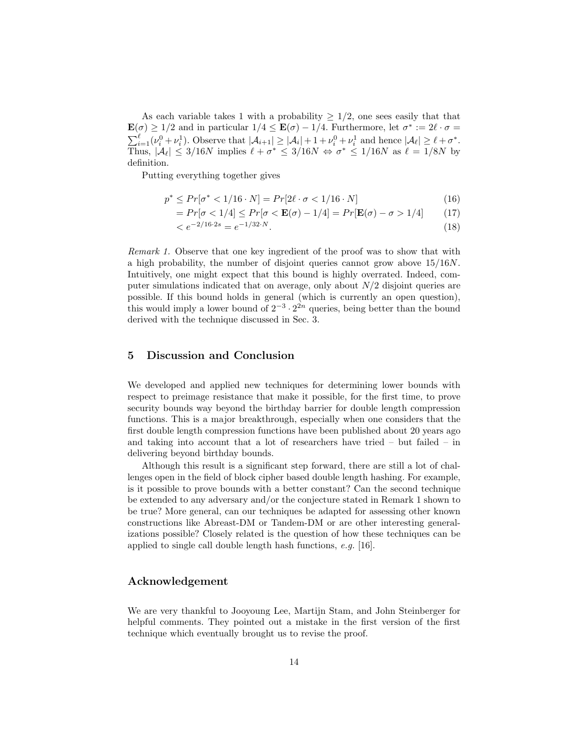As each variable takes 1 with a probability  $\geq 1/2$ , one sees easily that that  $\mathbf{E}(\sigma) \geq 1/2$  and in particular  $1/4 \leq \mathbf{E}(\sigma) - 1/4$ . Furthermore, let  $\sigma^* := 2\ell \cdot \sigma =$  $\sum_{i=1}^{\ell} (\nu_i^0 + \nu_i^1)$ . Observe that  $|\mathcal{A}_{i+1}| \geq |\mathcal{A}_i| + 1 + \nu_i^0 + \nu_i^1$  and hence  $|\mathcal{A}_{\ell}| \geq \ell + \sigma^*$ . Thus,  $|\mathcal{A}_{\ell}| \leq 3/16N$  implies  $\ell + \sigma^* \leq 3/16N \Leftrightarrow \sigma^* \leq 1/16N$  as  $\ell = 1/8N$  by definition.

Putting everything together gives

$$
p^* \le Pr[\sigma^* < 1/16 \cdot N] = Pr[2\ell \cdot \sigma < 1/16 \cdot N] \tag{16}
$$

$$
=Pr[\sigma < 1/4] \le Pr[\sigma < \mathbf{E}(\sigma) - 1/4] = Pr[\mathbf{E}(\sigma) - \sigma > 1/4]
$$
 (17)

$$
\langle e^{-2/16 \cdot 2s} = e^{-1/32 \cdot N}.\tag{18}
$$

Remark 1. Observe that one key ingredient of the proof was to show that with a high probability, the number of disjoint queries cannot grow above 15/16N. Intuitively, one might expect that this bound is highly overrated. Indeed, computer simulations indicated that on average, only about  $N/2$  disjoint queries are possible. If this bound holds in general (which is currently an open question), this would imply a lower bound of  $2^{-3} \cdot 2^{2n}$  queries, being better than the bound derived with the technique discussed in Sec. 3.

## 5 Discussion and Conclusion

We developed and applied new techniques for determining lower bounds with respect to preimage resistance that make it possible, for the first time, to prove security bounds way beyond the birthday barrier for double length compression functions. This is a major breakthrough, especially when one considers that the first double length compression functions have been published about 20 years ago and taking into account that a lot of researchers have tried – but failed – in delivering beyond birthday bounds.

Although this result is a significant step forward, there are still a lot of challenges open in the field of block cipher based double length hashing. For example, is it possible to prove bounds with a better constant? Can the second technique be extended to any adversary and/or the conjecture stated in Remark 1 shown to be true? More general, can our techniques be adapted for assessing other known constructions like Abreast-DM or Tandem-DM or are other interesting generalizations possible? Closely related is the question of how these techniques can be applied to single call double length hash functions, e.g. [16].

## Acknowledgement

We are very thankful to Jooyoung Lee, Martijn Stam, and John Steinberger for helpful comments. They pointed out a mistake in the first version of the first technique which eventually brought us to revise the proof.